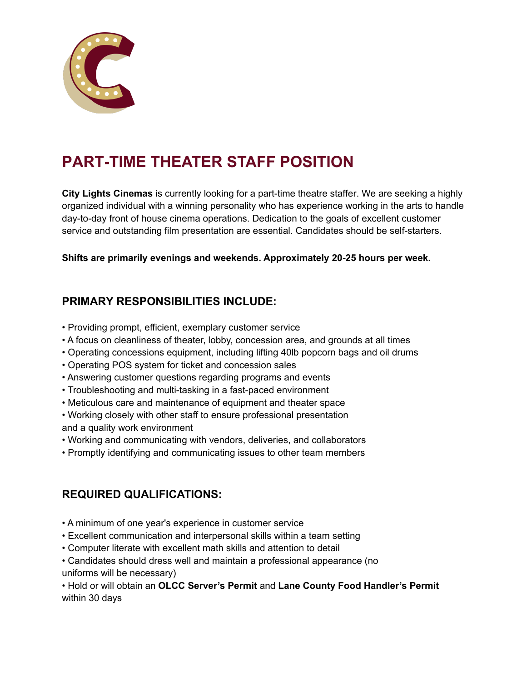

# **PART-TIME THEATER STAFF POSITION**

**City Lights Cinemas** is currently looking for a part-time theatre staffer. We are seeking a highly organized individual with a winning personality who has experience working in the arts to handle day-to-day front of house cinema operations. Dedication to the goals of excellent customer service and outstanding film presentation are essential. Candidates should be self-starters.

**Shifts are primarily evenings and weekends. Approximately 20-25 hours per week.**

#### **PRIMARY RESPONSIBILITIES INCLUDE:**

- Providing prompt, efficient, exemplary customer service
- A focus on cleanliness of theater, lobby, concession area, and grounds at all times
- Operating concessions equipment, including lifting 40lb popcorn bags and oil drums
- Operating POS system for ticket and concession sales
- Answering customer questions regarding programs and events
- Troubleshooting and multi-tasking in a fast-paced environment
- Meticulous care and maintenance of equipment and theater space
- Working closely with other staff to ensure professional presentation and a quality work environment
- Working and communicating with vendors, deliveries, and collaborators
- Promptly identifying and communicating issues to other team members

## **REQUIRED QUALIFICATIONS:**

- A minimum of one year's experience in customer service
- Excellent communication and interpersonal skills within a team setting
- Computer literate with excellent math skills and attention to detail
- Candidates should dress well and maintain a professional appearance (no uniforms will be necessary)

• Hold or will obtain an **OLCC Server's Permit** and **Lane County Food Handler's Permit** within 30 days